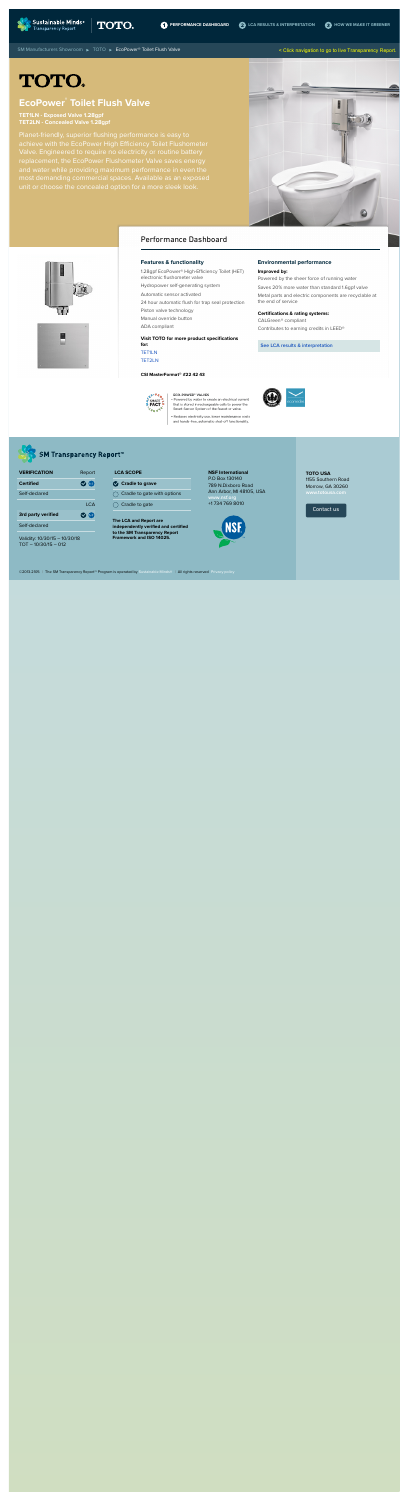**[PERFORMANCE DASHBOARD](http://www.sustainableminds.com/showroom/toto/TET1LN-TET2LN/dashboard.html) 2** [LCA RESULTS & INTERPRETATION](http://www.sustainableminds.com/showroom/toto/TET1LN-TET2LN/lca-results.html) **3** [HOW WE MAKE IT GREENER](http://www.sustainableminds.com/showroom/toto/TET1LN-TET2LN/greener.html)

[SM Manufacturers Showroom](http://www.sustainableminds.com/transparency-products/manufacturers-showroom) ▶ [TOTO](http://www.sustainableminds.com/showroom/toto/) ▶ EcoPower® Toilet Flush Valve

# **TOTO.**

# **EcoPower® Toilet Flush Valve**

**TET1LN - Exposed Valve 1.28gpf TET2LN - Concealed Valve 1.28gpf**

Planet-friendly, superior flushing performance is easy to achieve with the EcoPower High Efficiency Toilet Flushometer Valve. Engineered to require no electricity or routine battery replacement, the EcoPower Flushometer Valve saves energy and water while providing maximum performance in even the most demanding commercial spaces. Available as an exposed unit or choose the concealed option for a more sleek look.

#### **Features & functionality**

- 1.28gpf EcoPower® High-Efficiency Toilet (HET) electronic flushometer valve
- Hydropower self-generating system
- Automatic sensor activated
- 24 hour automatic flush for trap seal protection
- Piston valve technology
- Manual override button
- ADA compliant

**LCA SCOPE Cradle to grave**  $\bigcirc$  Cradle to gate with options

 $\bigcirc$  Cradle to gate

**Visit TOTO for more product specifications for:** TET1LN

TET2LN

**CSI MasterFormat® #22 42 43**

# **FACT**

ECO-POWER<sup>®</sup> VALVES · Powered by water to create an electrical current that is stored in rechargeable cells to power the Smart Sensor System of the faucet or valve.

· Reduces electricity use, lower maintenance costs and hands-free, automatic-shut-off functionality





#### **Improved by:**

Powered by the sheer force of running water Saves 20% more water than standard 1.6gpf valve Metal parts and electric components are recyclable at the end of service

#### **Certifications & rating systems:**

CALGreen® compliant Contributes to earning credits in LEED®

**See LCA results & interpretation**



## Performance Dashboard

Validity: 10/30/15 – 10/30/18 TOT – 10/30/15 – 012

**The LCA and Report are independently verified and certified to the SM Transparency Report Framework and ISO 14025.**



**NSF International** P.O Box 130140 789 N.Dixboro Road Ann Arbor, MI 48105, USA **www.nsf.org** +1 734 769 8010

| <b>VERIFICATION</b>       | Report         |
|---------------------------|----------------|
| <b>Certified</b>          | <b>V</b> (NSE) |
| Self-declared             |                |
|                           | LCA            |
| <b>3rd party verified</b> | $\sim$ MSE     |
| Self-declared             |                |

**TOTO USA** 1155 Southern Road Morrow, GA 30260 **www.totousa.com**

Contact us





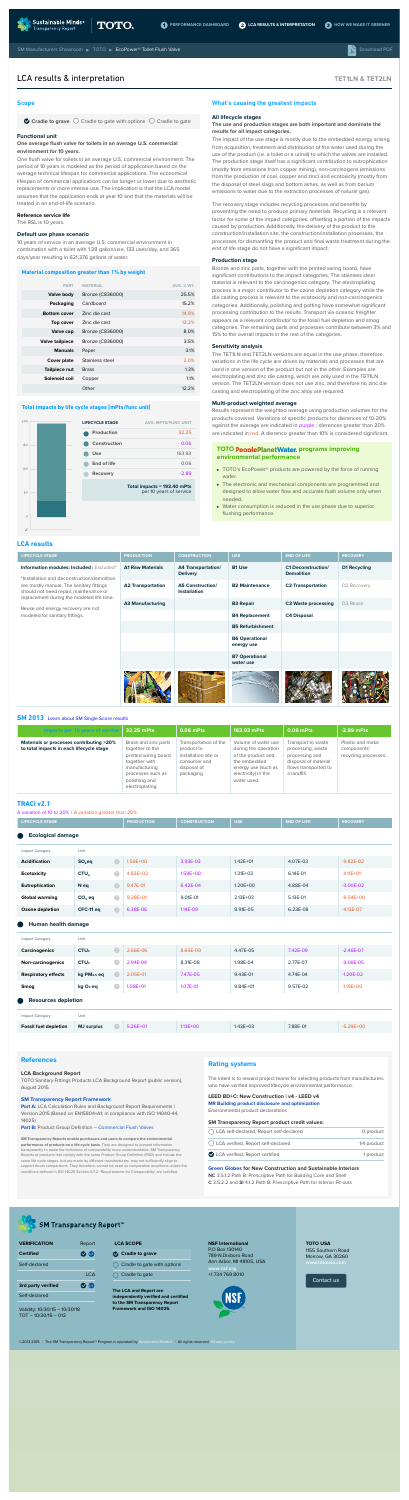

## **TET1LN & TET2LN**

## **References**

#### **LCA Background Report**

TOTO Sanitary Fittings Products LCA Background Report (public version), August 2015

Part A: LCA Calculation Rules and Background Report Requirements I Version 2015 (Based on EN15804+A1; in compliance with ISO 14040-44, 14025)

Part B: Product Group Definition - Commercial Flush Valves

#### **SM Transparency Report Framework**

**SM Transparency Reports enable purchasers and users to compare the environmental performance of products on a life cycle basis.** They are designed to present information transparently to make the limitations of comparability more understandable. SM Transparency Reports of products that comply with the same Product Group Definition (PGD) and include the same life cycle stages, but are made by different manufacturers, may not sufficiently align to support direct comparisons. They therefore, cannot be used as comparative assertions unless the conditions defined in ISO 14025 Section 6.7.2. 'Requirements for Comparability' are satisfied.

## **Rating systems**

The intent is to reward project teams for selecting products from manufacturers who have verified improved lifecycle environmental performance.

## **LEED BD+C: New Construction | v4 - LEED v4**

| ◯ LCA self-declared, Report self-declared | 0 product   |
|-------------------------------------------|-------------|
| ◯ LCA verified, Report self-declared      | 1/4 product |
| LCA verified, Report certified            | 1 product   |

**MR Building product disclosure and optimization**  Environmental product declarations

#### **SM Transparency Report product credit values:**

#### **Green Globes for New Construction and Sustainable Interiors**

**NC** 3.5.1.2 Path B: Prescriptive Path for Building Core and Shell **C** 3.5.2.2 and **SI** 4.1.2 Path B: Prescriptive Path for Interior Fit-outs



## **SM Transparency Report™**

| 200 | LIFECYCLE STAGE   | <b>AVG. MPTS/FUNC UNIT</b> |
|-----|-------------------|----------------------------|
|     | <b>Production</b> | 32.25                      |

| 150 | <b>Construction</b> | 0.06                                                   |
|-----|---------------------|--------------------------------------------------------|
|     | <b>Use</b>          | 163.93                                                 |
| 100 | <b>End of life</b>  | 0.06                                                   |
|     | <b>Recovery</b>     | $-2.89$                                                |
|     |                     |                                                        |
| 50  |                     | Total impacts = 193.40 mPts<br>per 10 years of service |

#### Scope

 $\bullet$  Cradle to grave  $\circlearrowright$  Cradle to gate with options  $\circlearrowright$  Cradle to gate

#### **Functional unit**

#### **One average flush valve for toilets in an average U.S. commercial environment for 10 years.**

One flush valve for toilets in an average U.S. commercial environment. The period of 10 years is modeled as the period of application based on the average technical lifespan for commercial applications. The economical lifespan of commercial applications can be longer or lower due to aesthetic replacements or more intense use. The implication is that the LCA model assumes that the application ends at year 10 and that the materials will be treated in an end-of-life scenario.

#### **Reference service life**

The RSL is 10 years.

#### **Default use phase scenario**

10 years of service in an average U.S. commercial environment in combination with a toilet with 1.28 gallon/use, 133 uses/day, and 365 days/year resulting in 621,376 gallons of water.

> Results represent the weighted average using production volumes for the products covered. Variations of specific products for dierences of 10-20% against the average are indicated in purple ; dierences greater than 20% are indicated in red. A dierence greater than 10% is considered significant.

#### **Material composition greater than 1% by weight**

## **TOTO PeoplePlanetWater.** programs improving **environmental performance**

| <b>PART</b>            | <b>MATERIAL</b>  | <b>AVG. % WT.</b> |
|------------------------|------------------|-------------------|
| Valve body             | Bronze (C836000) | 25.5%             |
| Packaging              | Cardboard        | 15.2%             |
| <b>Bottom cover</b>    | Zinc die cast    | 14.9%             |
| Top cover              | Zinc die cast    | 13.2%             |
| <b>Valve cap</b>       | Bronze (C836000) | 8.0%              |
| <b>Valve tailpiece</b> | Bronze (C836000) | 3.5%              |
| <b>Manuals</b>         | Paper            | 3.1%              |
| <b>Cover plate</b>     | Stainless steel  | 2.0%              |
| Tailpiece nut          | <b>Brass</b>     | 1.3%              |
| Solenoid coil          | Copper           | 1.1%              |
|                        | Other            | 12.2%             |

- TOTO's EcoPower<sup>®</sup> products are powered by the force of running water.
- The electronic and mechanical components are programmed and designed to allow water flow and accurate flush volume only when needed.
- Water consumption is reduced in the use phase due to superior flushing performance.

#### **Total impacts by life cycle stages [mPts/func unit]**

#### What's causing the greatest impacts

#### **All lifecycle stages**

#### **The use and production stages are both important and dominate the results for all impact categories.**

The impact of the use stage is mostly due to the embedded energy arising from acquisition, treatment and distribution of the water used during the use of the product (i.e. a toilet or a urinal) to which the valves are installed. The production stage itself has a significant contribution to eutrophication (mostly from emissions from copper mining), non-carcinogens (emissions from the production of coal, copper and zinc) and ecotoxicity (mostly from the disposal of steel slags and bottom ashes, as well as from barium emissions to water due to the extraction processes of natural gas).

The recovery stage includes recycling processes and benefits by preventing the need to produce primary materials. Recycling is a relevant factor for some of the impact categories, offsetting a portion of the impacts caused by production. Additionally, the delivery of the product to the construction/installation site, the construction/installation processes, the processes for dismantling the product and final waste treatment during the end of life stage do not have a significant impact.

#### **Production stage**

Bronze and zinc parts, together with the printed wiring board, have significant contributions to the impact categories. The stainless steel material is relevant to the carcinogenics category. The electroplating process is a major contributor to the ozone depletion category while the die casting process is relevant to the ecotoxicity and non-carcinogenics categories. Additionally, polishing and potting have somewhat significant processing contribution to the results. Transport via oceanic freighter appears as a relevant contributor to the fossil fuel depletion and smog categories. The remaining parts and processes contribute between 3% and 15% to the overall impacts in the rest of the categories.

#### **Sensitivity analysis**

The TET1LN and TET2LN versions are equal in the use phase; therefore, variations in the life cycle are driven by materials and processes that are used in one version of the product but not in the other. Examples are electroplating and zinc die casting, which are only used in the TET1LN version. The TET2LN version does not use zinc, and therefore no zinc die casting and electroplating of the zinc alloy are required.

#### **Multi-product weighted average**

## LCA results & interpretation

## **LCA results**

 $-5$ 

| <b>LIFECYCLE STAGE</b>                                                                                                                                                         | <b>PRODUCTION</b>        | <b>CONSTRUCTION</b>                            | <b>USE</b>                          | <b>END OF LIFE</b>                             | <b>RECOVERY</b>     |
|--------------------------------------------------------------------------------------------------------------------------------------------------------------------------------|--------------------------|------------------------------------------------|-------------------------------------|------------------------------------------------|---------------------|
| Information modules: Included   Excluded*<br>*Installation and deconstruction/demolition<br>are mostly manual. The sanitary fittings<br>should not need repair, maintenance or | <b>A1 Raw Materials</b>  | <b>A4 Transportation/</b><br><b>Delivery</b>   | <b>B1 Use</b>                       | <b>C1 Deconstruction/</b><br><b>Demolition</b> | <b>D1 Recycling</b> |
|                                                                                                                                                                                | <b>A2 Transportation</b> | <b>A5 Construction/</b><br><b>Installation</b> | <b>B2 Maintenance</b>               | <b>C2 Transportation</b>                       | D2 Recovery         |
| replacement during the modeled life time.                                                                                                                                      | <b>A3 Manufacturing</b>  |                                                | <b>B3 Repair</b>                    | <b>C3 Waste processing</b>                     | D3 Reuse            |
| Reuse and energy recovery are not<br>modeled for sanitary fittings.                                                                                                            |                          |                                                | <b>B4 Replacement</b>               | <b>C4 Disposal</b>                             |                     |
|                                                                                                                                                                                |                          |                                                | <b>B5 Refurbishment</b>             |                                                |                     |
|                                                                                                                                                                                |                          |                                                | <b>B6 Operational</b><br>energy use |                                                |                     |
|                                                                                                                                                                                |                          |                                                | <b>B7 Operational</b><br>water use  |                                                |                     |
|                                                                                                                                                                                |                          |                                                |                                     |                                                |                     |

#### **SM 2013** Learn about SM Single Score results

| Impacts per 10 years of service                                                      | 32.25 mPts                                                                                                                                                 | 0.06 mPts                                                                                                | 163.93 mPts                                                                                                                                    | 0.06 mPts                                                                                                                | $-2.89$ mPts                                             |
|--------------------------------------------------------------------------------------|------------------------------------------------------------------------------------------------------------------------------------------------------------|----------------------------------------------------------------------------------------------------------|------------------------------------------------------------------------------------------------------------------------------------------------|--------------------------------------------------------------------------------------------------------------------------|----------------------------------------------------------|
| Materials or processes contributing >20%<br>to total impacts in each lifecycle stage | Brass and zinc parts<br>together to the<br>printed wiring board<br>together with<br>manufacturing<br>processes such as<br>polishing and<br>electroplating. | Transportation of the<br>product to<br>installation site or<br>consumer and<br>disposal of<br>packaging. | Volume of water use<br>during the operation<br>of the product and<br>the embedded<br>energy use (such as<br>electricity) in the<br>water used. | Transport to waste<br>processing, waste<br>processing and<br>disposal of material<br>flows transported to<br>a landfill. | Plastic and metal<br>components'<br>recycling processes. |

### **TRACI v2.1**

A variation of 10 to 20% | A variation greater than 20%

| <b>LIFECYCLE STAGE</b>                  |                         |           | <b>PRODUCTION</b> | <b>CONSTRUCTION</b> | <b>USE</b>   | <b>END OF LIFE</b> | <b>RECOVERY</b> |
|-----------------------------------------|-------------------------|-----------|-------------------|---------------------|--------------|--------------------|-----------------|
| θ<br><b>Ecological damage</b>           |                         |           |                   |                     |              |                    |                 |
| <b>Impact Category</b>                  | Unit                    |           |                   |                     |              |                    |                 |
| <b>Acidification</b>                    | $SO2$ eq                | $\bullet$ | 1.59E+00          | 3.93E-03            | $1.42E + 01$ | 4.07E-03           | $-9.82E - 02$   |
| <b>Ecotoxicity</b>                      | CTU <sub>e</sub>        | $\bullet$ | 4.82E+02          | 1.59E+00            | $1.31E + 03$ | 6.14E-01           | $-4.11E+O1$     |
| Eutrophication                          | N eq                    | $\bullet$ | 9.47E-01          | 6.42E-04            | 1.20E+00     | 4.88E-04           | $-3.00E-02$     |
| <b>Global warming</b>                   | $CO2$ eq                | $\bullet$ | $9.28E + 01$      | 9.01E-01            | 2.13E+03     | 5.13E-01           | $-6.54E+00$     |
| Ozone depletion                         | CFC-11 eq               | $\bullet$ | 6.38E-06          | 1.14E-09            | 8.91E-05     | 6.23E-08           | $-4.13E - 07$   |
| Human health damage<br>θ                |                         |           |                   |                     |              |                    |                 |
| <b>Impact Category</b>                  | Unit                    |           |                   |                     |              |                    |                 |
| <b>Carcinogenics</b>                    | CTU <sub>h</sub>        | 2         | 2.66E-06          | 8.65E-09            | 4.47E-05     | 7.42E-09           | $-2.46E - 07$   |
| <b>Non-carcinogenics</b>                | CTU <sub>h</sub>        | 2         | 2.94E-04          | 8.31E-08            | 1.98E-04     | 2.77E-07           | $-3.06E - 05$   |
| <b>Respiratory effects</b>              | kg PM <sub>2.5</sub> eq | $\bullet$ | 2.05E-01          | 7.47E-05            | 9.43E-01     | 4.74E-04           | $-1.20E - 02$   |
| <b>Smog</b>                             | kg O <sub>3</sub> eq    | $\bullet$ | $1.08E + 01$      | 1.07E-01            | $9.84E + 01$ | 9.57E-02           | $-1.19E+OO$     |
| $\bullet$<br><b>Resources depletion</b> |                         |           |                   |                     |              |                    |                 |
| <b>Impact Category</b>                  | Unit                    |           |                   |                     |              |                    |                 |
| <b>Fossil fuel depletion</b>            | <b>MJ</b> surplus       | $\bullet$ | $5.26E+01$        | $1.13E + 00$        | $1.43E + 03$ | 7.88E-01           | $-5.29E+00$     |

Validity: 10/30/15 – 10/30/18

#### TOT – 10/30/15 – 012

**The LCA and Report are independently verified and certified to the SM Transparency Report Framework and ISO 14025.**

**NSF International** P.O Box 130140 789 N.Dixboro Road Ann Arbor, MI 48105, USA **www.nsf.org** +1 734 769 8010



| <b>VERIFICATION</b>       | Report          |
|---------------------------|-----------------|
| <b>Certified</b>          | M<br><b>NSE</b> |
| Self-declared             |                 |
|                           | I CA            |
| <b>3rd party verified</b> | (NSE)<br>M      |
| Self-declared             |                 |

## **LCA SCOPE**

- **Cradle to grave**
- Cradle to gate with options

 $\bigcirc$  Cradle to gate

#### ©2013-2105 | The SM Transparency Report™ Program is operated by Sustainable Minds® | All rights reserved Privacy policy

**TOTO USA** 1155 Southern Road Morrow, GA 30260

Contact us